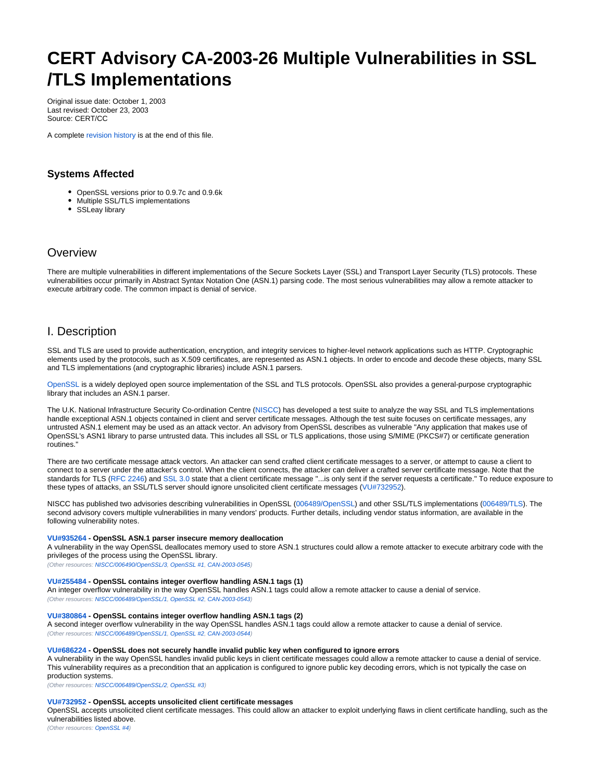# <span id="page-0-0"></span>**CERT Advisory CA-2003-26 Multiple Vulnerabilities in SSL /TLS Implementations**

Original issue date: October 1, 2003 Last revised: October 23, 2003 Source: CERT/CC

A complete [revision history](#page-6-0) is at the end of this file.

# **Systems Affected**

- OpenSSL versions prior to 0.9.7c and 0.9.6k
- Multiple SSL/TLS implementations
- SSLeay library

# **Overview**

There are multiple vulnerabilities in different implementations of the Secure Sockets Layer (SSL) and Transport Layer Security (TLS) protocols. These vulnerabilities occur primarily in Abstract Syntax Notation One (ASN.1) parsing code. The most serious vulnerabilities may allow a remote attacker to execute arbitrary code. The common impact is denial of service.

# I. Description

SSL and TLS are used to provide authentication, encryption, and integrity services to higher-level network applications such as HTTP. Cryptographic elements used by the protocols, such as X.509 certificates, are represented as ASN.1 objects. In order to encode and decode these objects, many SSL and TLS implementations (and cryptographic libraries) include ASN.1 parsers.

[OpenSSL](http://www.openssl.org/) is a widely deployed open source implementation of the SSL and TLS protocols. OpenSSL also provides a general-purpose cryptographic library that includes an ASN.1 parser.

The U.K. National Infrastructure Security Co-ordination Centre ([NISCC](http://www.niscc.gov.uk/)) has developed a test suite to analyze the way SSL and TLS implementations handle exceptional ASN.1 objects contained in client and server certificate messages. Although the test suite focuses on certificate messages, any untrusted ASN.1 element may be used as an attack vector. An advisory from OpenSSL describes as vulnerable "Any application that makes use of OpenSSL's ASN1 library to parse untrusted data. This includes all SSL or TLS applications, those using S/MIME (PKCS#7) or certificate generation routines."

There are two certificate message attack vectors. An attacker can send crafted client certificate messages to a server, or attempt to cause a client to connect to a server under the attacker's control. When the client connects, the attacker can deliver a crafted server certificate message. Note that the standards for TLS [\(RFC 2246](http://www.ietf.org/rfc/rfc2246.txt)) and [SSL 3.0](http://wp.netscape.com/eng/ssl3/draft302.txt) state that a client certificate message "...is only sent if the server requests a certificate." To reduce exposure to these types of attacks, an SSL/TLS server should ignore unsolicited client certificate messages [\(VU#732952\)](http://www.kb.cert.org/vuls/id/732952).

NISCC has published two advisories describing vulnerabilities in OpenSSL [\(006489/OpenSSL\)](http://www.uniras.gov.uk/vuls/2003/006489/openssl.htm) and other SSL/TLS implementations [\(006489/TLS](http://www.uniras.gov.uk/vuls/2003/006489/tls.htm)). The second advisory covers multiple vulnerabilities in many vendors' products. Further details, including vendor status information, are available in the following vulnerability notes.

#### **[VU#935264](http://www.kb.cert.org/vuls/id/935264) - OpenSSL ASN.1 parser insecure memory deallocation**

A vulnerability in the way OpenSSL deallocates memory used to store ASN.1 structures could allow a remote attacker to execute arbitrary code with the privileges of the process using the OpenSSL library.

(Other resources: [NISCC/006490/OpenSSL/3](http://www.uniras.gov.uk/vuls/2003/006489/openssl.htm), [OpenSSL #1](http://www.openssl.org/news/secadv_20030930.txt), [CAN-2003-0545\)](http://cve.mitre.org/cgi-bin/cvename.cgi?name=CAN-2003-0545)

#### **[VU#255484](http://www.kb.cert.org/vuls/id/255484) - OpenSSL contains integer overflow handling ASN.1 tags (1)**

An integer overflow vulnerability in the way OpenSSL handles ASN.1 tags could allow a remote attacker to cause a denial of service. (Other resources: [NISCC/006489/OpenSSL/1](http://www.uniras.gov.uk/vuls/2003/006489/openssl.htm), [OpenSSL #2](http://www.openssl.org/news/secadv_20030930.txt), [CAN-2003-0543\)](http://cve.mitre.org/cgi-bin/cvename.cgi?name=CAN-2003-0543)

#### **[VU#380864](http://www.kb.cert.org/vuls/id/380864) - OpenSSL contains integer overflow handling ASN.1 tags (2)**

A second integer overflow vulnerability in the way OpenSSL handles ASN.1 tags could allow a remote attacker to cause a denial of service. (Other resources: [NISCC/006489/OpenSSL/1](http://www.uniras.gov.uk/vuls/2003/006489/openssl.htm), [OpenSSL #2](http://www.openssl.org/news/secadv_20030930.txt), [CAN-2003-0544\)](http://cve.mitre.org/cgi-bin/cvename.cgi?name=CAN-2003-0544)

#### **[VU#686224](http://www.kb.cert.org/vuls/id/686224) - OpenSSL does not securely handle invalid public key when configured to ignore errors**

A vulnerability in the way OpenSSL handles invalid public keys in client certificate messages could allow a remote attacker to cause a denial of service. This vulnerability requires as a precondition that an application is configured to ignore public key decoding errors, which is not typically the case on production systems.

(Other resources: [NISCC/006489/OpenSSL/2](http://www.uniras.gov.uk/vuls/2003/006489/openssl.htm), [OpenSSL #3](http://www.openssl.org/news/secadv_20030930.txt))

## **[VU#732952](http://www.kb.cert.org/vuls/id/732952) - OpenSSL accepts unsolicited client certificate messages**

OpenSSL accepts unsolicited client certificate messages. This could allow an attacker to exploit underlying flaws in client certificate handling, such as the vulnerabilities listed above.

(Other resources: [OpenSSL #4\)](http://www.openssl.org/news/secadv_20030930.txt)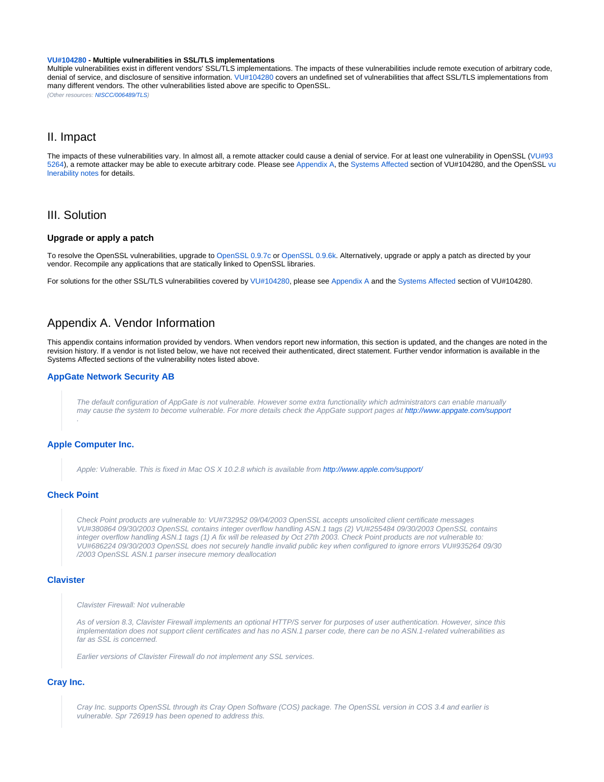#### **[VU#104280](http://www.kb.cert.org/vuls/id/104280) - Multiple vulnerabilities in SSL/TLS implementations**

Multiple vulnerabilities exist in different vendors' SSL/TLS implementations. The impacts of these vulnerabilities include remote execution of arbitrary code, denial of service, and disclosure of sensitive information. [VU#104280](http://www.kb.cert.org/vuls/id/104280) covers an undefined set of vulnerabilities that affect SSL/TLS implementations from many different vendors. The other vulnerabilities listed above are specific to OpenSSL. (Other resources: [NISCC/006489/TLS](http://www.uniras.gov.uk/vuls/2003/006489/tls.htm))

# II. Impact

The impacts of these vulnerabilities vary. In almost all, a remote attacker could cause a denial of service. For at least one vulnerability in OpenSSL ([VU#93](http://www.kb.cert.org/vuls/id/935264) [5264\)](http://www.kb.cert.org/vuls/id/935264), a remote attacker may be able to execute arbitrary code. Please see [Appendix A](#page-1-0), the [Systems Affected](http://www.kb.cert.org/vuls/id/104280#systems) section of VU#104280, and the OpenSSL [vu](http://www.kb.cert.org/vuls/byid?searchview&query=CA-2003-26+and+openssl) [lnerability notes](http://www.kb.cert.org/vuls/byid?searchview&query=CA-2003-26+and+openssl) for details.

# III. Solution

## **Upgrade or apply a patch**

To resolve the OpenSSL vulnerabilities, upgrade to [OpenSSL 0.9.7c](http://www.openssl.org/source/) or [OpenSSL 0.9.6k.](http://www.openssl.org/source/) Alternatively, upgrade or apply a patch as directed by your vendor. Recompile any applications that are statically linked to OpenSSL libraries.

For solutions for the other SSL/TLS vulnerabilities covered by [VU#104280,](http://www.kb.cert.org/vuls/id/104280) please see [Appendix A](#page-1-0) and the [Systems Affected](http://www.kb.cert.org/vuls/id/104280#systems) section of VU#104280.

# <span id="page-1-0"></span>Appendix A. Vendor Information

This appendix contains information provided by vendors. When vendors report new information, this section is updated, and the changes are noted in the revision history. If a vendor is not listed below, we have not received their authenticated, direct statement. Further vendor information is available in the Systems Affected sections of the vulnerability notes listed above.

#### **[AppGate Network Security AB](http://www.appgate.com/)**

The default configuration of AppGate is not vulnerable. However some extra functionality which administrators can enable manually may cause the system to become vulnerable. For more details check the AppGate support pages at [http://www.appgate.com/support](http://www.appgate.com/support/) .

## **[Apple Computer Inc.](http://www.apple.com/)**

Apple: Vulnerable. This is fixed in Mac OS X 10.2.8 which is available from <http://www.apple.com/support/>

## **[Check Point](http://www.checkpoint.com/)**

Check Point products are vulnerable to: VU#732952 09/04/2003 OpenSSL accepts unsolicited client certificate messages VU#380864 09/30/2003 OpenSSL contains integer overflow handling ASN.1 tags (2) VU#255484 09/30/2003 OpenSSL contains integer overflow handling ASN.1 tags (1) A fix will be released by Oct 27th 2003. Check Point products are not vulnerable to: VU#686224 09/30/2003 OpenSSL does not securely handle invalid public key when configured to ignore errors VU#935264 09/30 /2003 OpenSSL ASN.1 parser insecure memory deallocation

# **[Clavister](http://www.clavister.com/)**

Clavister Firewall: Not vulnerable

As of version 8.3, Clavister Firewall implements an optional HTTP/S server for purposes of user authentication. However, since this implementation does not support client certificates and has no ASN.1 parser code, there can be no ASN.1-related vulnerabilities as far as SSL is concerned.

Earlier versions of Clavister Firewall do not implement any SSL services.

#### **[Cray Inc.](http://www.cray.com/)**

Cray Inc. supports OpenSSL through its Cray Open Software (COS) package. The OpenSSL version in COS 3.4 and earlier is vulnerable. Spr 726919 has been opened to address this.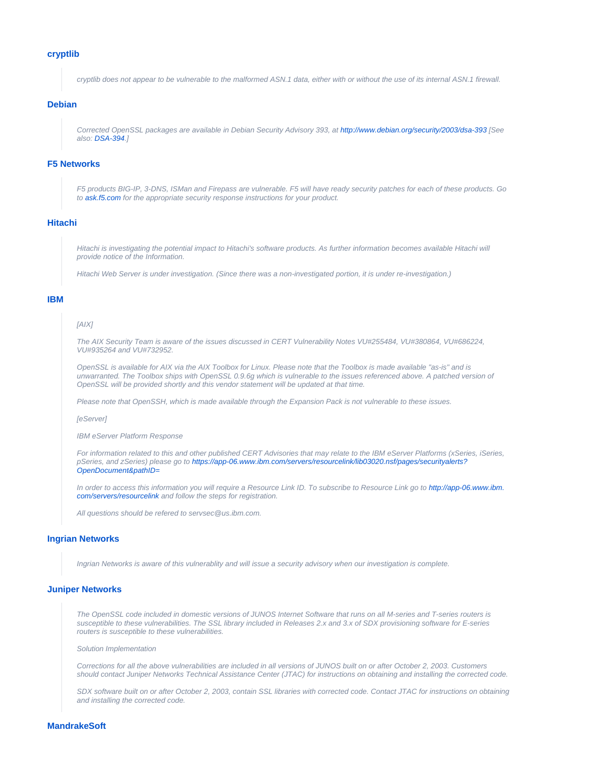#### **[cryptlib](http://www.cryptlib.orion.co.nz/)**

cryptlib does not appear to be vulnerable to the malformed ASN.1 data, either with or without the use of its internal ASN.1 firewall.

#### **[Debian](http://www.debian.org/)**

Corrected OpenSSL packages are available in Debian Security Advisory 393, at<http://www.debian.org/security/2003/dsa-393>[See also: [DSA-394](http://www.debian.org/security/2003/dsa-394).]

#### **[F5 Networks](http://www.f5.com/)**

F5 products BIG-IP, 3-DNS, ISMan and Firepass are vulnerable. F5 will have ready security patches for each of these products. Go to [ask.f5.com](http://ask.f5.com/) for the appropriate security response instructions for your product.

# **[Hitachi](http://www.hitachi.com/)**

Hitachi is investigating the potential impact to Hitachi's software products. As further information becomes available Hitachi will provide notice of the Information.

Hitachi Web Server is under investigation. (Since there was a non-investigated portion, it is under re-investigation.)

#### **[IBM](http://www.ibm.com/)**

## [AIX]

The AIX Security Team is aware of the issues discussed in CERT Vulnerability Notes VU#255484, VU#380864, VU#686224, VU#935264 and VU#732952.

OpenSSL is available for AIX via the AIX Toolbox for Linux. Please note that the Toolbox is made available "as-is" and is unwarranted. The Toolbox ships with OpenSSL 0.9.6g which is vulnerable to the issues referenced above. A patched version of OpenSSL will be provided shortly and this vendor statement will be updated at that time.

Please note that OpenSSH, which is made available through the Expansion Pack is not vulnerable to these issues.

#### **[eServer]**

IBM eServer Platform Response

For information related to this and other published CERT Advisories that may relate to the IBM eServer Platforms (xSeries, iSeries, pSeries, and zSeries) please go to [https://app-06.www.ibm.com/servers/resourcelink/lib03020.nsf/pages/securityalerts?](https://app-06.www.ibm.com/servers/resourcelink/lib03020.nsf/pages/securityalerts?OpenDocument&pathID=) [OpenDocument&pathID=](https://app-06.www.ibm.com/servers/resourcelink/lib03020.nsf/pages/securityalerts?OpenDocument&pathID=)

In order to access this information you will require a Resource Link ID. To subscribe to Resource Link go to [http://app-06.www.ibm.](http://app-06.www.ibm.com/servers/resourcelink) [com/servers/resourcelink](http://app-06.www.ibm.com/servers/resourcelink) and follow the steps for registration.

All questions should be refered to servsec@us.ibm.com.

#### **[Ingrian Networks](http://www.ingrian.com/)**

Ingrian Networks is aware of this vulnerablity and will issue a security advisory when our investigation is complete.

#### **[Juniper Networks](http://www.juniper.com/)**

The OpenSSL code included in domestic versions of JUNOS Internet Software that runs on all M-series and T-series routers is susceptible to these vulnerabilities. The SSL library included in Releases 2.x and 3.x of SDX provisioning software for E-series routers is susceptible to these vulnerabilities.

Solution Implementation

Corrections for all the above vulnerabilities are included in all versions of JUNOS built on or after October 2, 2003. Customers should contact Juniper Networks Technical Assistance Center (JTAC) for instructions on obtaining and installing the corrected code.

SDX software built on or after October 2, 2003, contain SSL libraries with corrected code. Contact JTAC for instructions on obtaining and installing the corrected code.

# **[MandrakeSoft](http://www.mandrakesoft.com/)**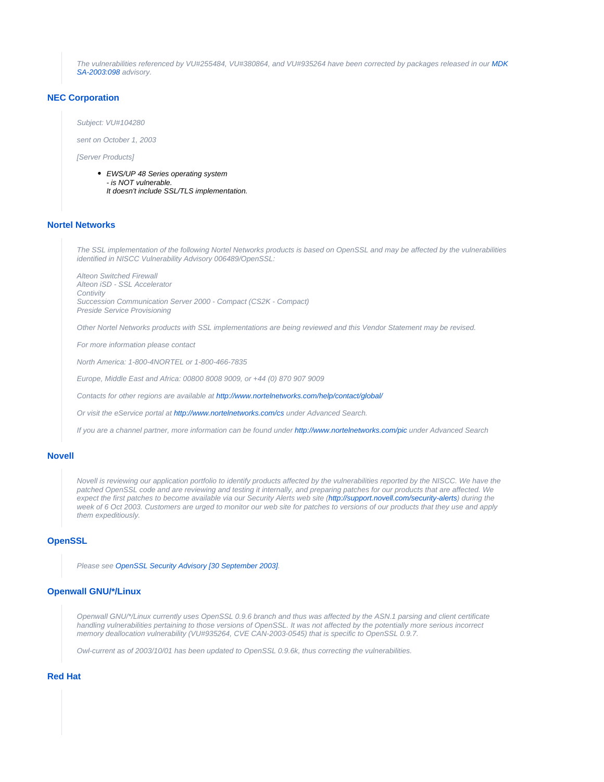The vulnerabilities referenced by VU#255484, VU#380864, and VU#935264 have been corrected by packages released in our [MDK](http://www.mandrakesecure.net/en/advisories/advisory.php?name=MDKSA-2003:098) [SA-2003:098](http://www.mandrakesecure.net/en/advisories/advisory.php?name=MDKSA-2003:098) advisory.

# **[NEC Corporation](http://www.nec.com/)**

Subject: VU#104280

sent on October 1, 2003

[Server Products]

• EWS/UP 48 Series operating system - is NOT vulnerable. It doesn't include SSL/TLS implementation.

# **[Nortel Networks](http://www.nortel.com/)**

The SSL implementation of the following Nortel Networks products is based on OpenSSL and may be affected by the vulnerabilities identified in NISCC Vulnerability Advisory 006489/OpenSSL:

Alteon Switched Firewall Alteon iSD - SSL Accelerator **Contivity** Succession Communication Server 2000 - Compact (CS2K - Compact) Preside Service Provisioning

Other Nortel Networks products with SSL implementations are being reviewed and this Vendor Statement may be revised.

For more information please contact

North America: 1-800-4NORTEL or 1-800-466-7835

Europe, Middle East and Africa: 00800 8008 9009, or +44 (0) 870 907 9009

Contacts for other regions are available at<http://www.nortelnetworks.com/help/contact/global/>

Or visit the eService portal at<http://www.nortelnetworks.com/cs> under Advanced Search.

If you are a channel partner, more information can be found under <http://www.nortelnetworks.com/pic>under Advanced Search

#### **[Novell](http://www.novell.com/)**

Novell is reviewing our application portfolio to identify products affected by the vulnerabilities reported by the NISCC. We have the patched OpenSSL code and are reviewing and testing it internally, and preparing patches for our products that are affected. We expect the first patches to become available via our Security Alerts web site [\(http://support.novell.com/security-alerts\)](http://support.novell.com/security-alerts/) during the week of 6 Oct 2003. Customers are urged to monitor our web site for patches to versions of our products that they use and apply them expeditiously.

# **[OpenSSL](http://www.openssl.org/)**

Please see [OpenSSL Security Advisory \[30 September 2003\].](http://www.openssl.org/news/secadv_20030930.txt)

## **[Openwall GNU/\\*/Linux](http://www.openwall.com/)**

Openwall GNU/\*/Linux currently uses OpenSSL 0.9.6 branch and thus was affected by the ASN.1 parsing and client certificate handling vulnerabilities pertaining to those versions of OpenSSL. It was not affected by the potentially more serious incorrect memory deallocation vulnerability (VU#935264, CVE CAN-2003-0545) that is specific to OpenSSL 0.9.7.

Owl-current as of 2003/10/01 has been updated to OpenSSL 0.9.6k, thus correcting the vulnerabilities.

# **[Red Hat](http://www.redhat.com/)**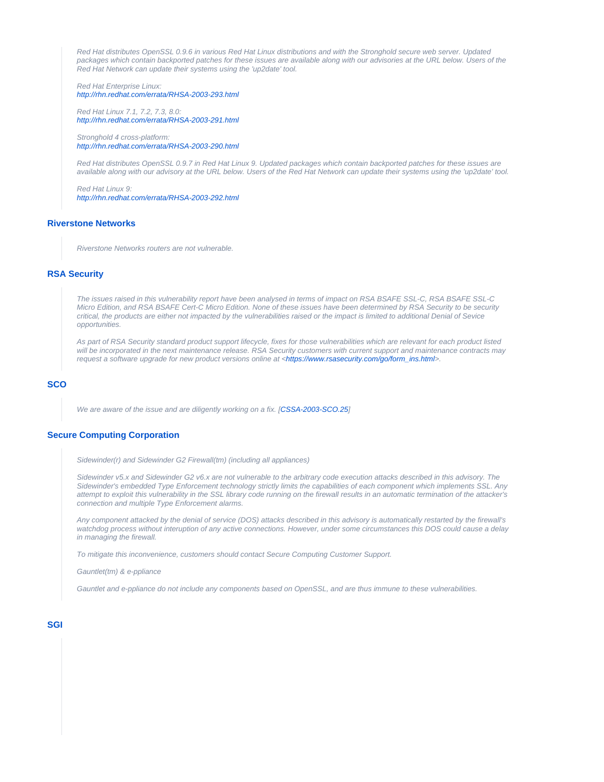Red Hat distributes OpenSSL 0.9.6 in various Red Hat Linux distributions and with the Stronghold secure web server. Updated packages which contain backported patches for these issues are available along with our advisories at the URL below. Users of the Red Hat Network can update their systems using the 'up2date' tool.

Red Hat Enterprise Linux: <http://rhn.redhat.com/errata/RHSA-2003-293.html>

Red Hat Linux 7.1, 7.2, 7.3, 8.0: <http://rhn.redhat.com/errata/RHSA-2003-291.html>

Stronghold 4 cross-platform: <http://rhn.redhat.com/errata/RHSA-2003-290.html>

Red Hat distributes OpenSSL 0.9.7 in Red Hat Linux 9. Updated packages which contain backported patches for these issues are available along with our advisory at the URL below. Users of the Red Hat Network can update their systems using the 'up2date' tool.

Red Hat Linux 9: <http://rhn.redhat.com/errata/RHSA-2003-292.html>

# **[Riverstone Networks](http://www.riverstonenet.com/)**

Riverstone Networks routers are not vulnerable.

## **[RSA Security](http://www.rsasecurity.com/)**

The issues raised in this vulnerability report have been analysed in terms of impact on RSA BSAFE SSL-C, RSA BSAFE SSL-C Micro Edition, and RSA BSAFE Cert-C Micro Edition. None of these issues have been determined by RSA Security to be security critical, the products are either not impacted by the vulnerabilities raised or the impact is limited to additional Denial of Sevice opportunities.

As part of RSA Security standard product support lifecycle, fixes for those vulnerabilities which are relevant for each product listed will be incorporated in the next maintenance release. RSA Security customers with current support and maintenance contracts may request a software upgrade for new product versions online at <[https://www.rsasecurity.com/go/form\\_ins.html>](https://www.rsasecurity.com/go/form_ins.html).

#### **[SCO](http://www.sco.com/)**

We are aware of the issue and are diligently working on a fix. [\[CSSA-2003-SCO.25](ftp://ftp.sco.com/pub/updates/UnixWare/CSSA-2003-SCO.25/CSSA-2003-SCO.25.txt)]

# **[Secure Computing Corporation](http://www.securecomputing.com/)**

Sidewinder(r) and Sidewinder G2 Firewall(tm) (including all appliances)

Sidewinder v5.x and Sidewinder G2 v6.x are not vulnerable to the arbitrary code execution attacks described in this advisory. The Sidewinder's embedded Type Enforcement technology strictly limits the capabilities of each component which implements SSL. Any attempt to exploit this vulnerability in the SSL library code running on the firewall results in an automatic termination of the attacker's connection and multiple Type Enforcement alarms.

Any component attacked by the denial of service (DOS) attacks described in this advisory is automatically restarted by the firewall's watchdog process without interuption of any active connections. However, under some circumstances this DOS could cause a delay in managing the firewall.

To mitigate this inconvenience, customers should contact Secure Computing Customer Support.

Gauntlet(tm) & e-ppliance

Gauntlet and e-ppliance do not include any components based on OpenSSL, and are thus immune to these vulnerabilities.

#### **[SGI](http://www.sgi.com/)**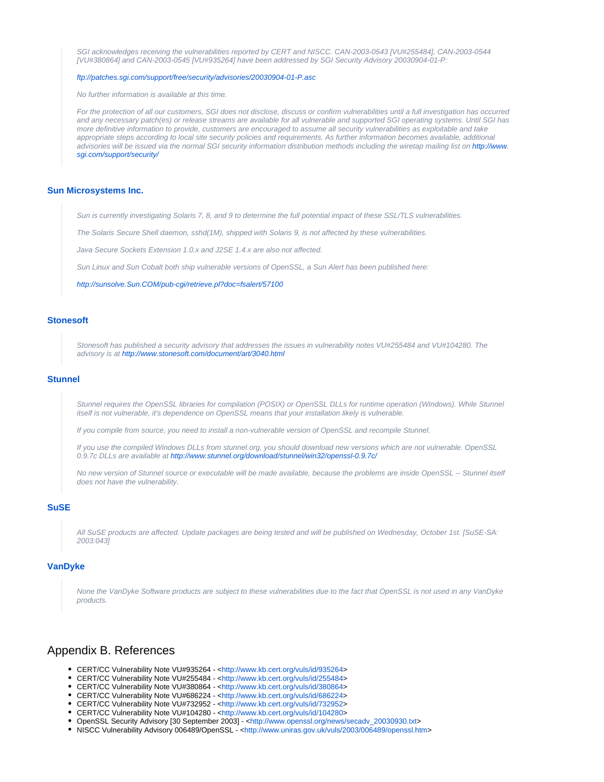SGI acknowledges receiving the vulnerabilities reported by CERT and NISCC. CAN-2003-0543 [VU#255484], CAN-2003-0544 [VU#380864] and CAN-2003-0545 [VU#935264] have been addressed by SGI Security Advisory 20030904-01-P:

#### <ftp://patches.sgi.com/support/free/security/advisories/20030904-01-P.asc>

No further information is available at this time.

For the protection of all our customers, SGI does not disclose, discuss or confirm vulnerabilities until a full investigation has occurred and any necessary patch(es) or release streams are available for all vulnerable and supported SGI operating systems. Until SGI has more definitive information to provide, customers are encouraged to assume all security vulnerabilities as exploitable and take appropriate steps according to local site security policies and requirements. As further information becomes available, additional advisories will be issued via the normal SGI security information distribution methods including the wiretap mailing list on [http://www.](http://www.sgi.com/support/security/) [sgi.com/support/security/](http://www.sgi.com/support/security/)

#### <span id="page-5-0"></span>**[Sun Microsystems Inc.](http://www.sun.com/)**

Sun is currently investigating Solaris 7, 8, and 9 to determine the full potential impact of these SSL/TLS vulnerabilities.

The Solaris Secure Shell daemon, sshd(1M), shipped with Solaris 9, is not affected by these vulnerabilities.

Java Secure Sockets Extension 1.0.x and J2SE 1.4.x are also not affected.

Sun Linux and Sun Cobalt both ship vulnerable versions of OpenSSL, a Sun Alert has been published here:

<http://sunsolve.Sun.COM/pub-cgi/retrieve.pl?doc=fsalert/57100>

## **[Stonesoft](http://www.stonesoft.com/)**

Stonesoft has published a security advisory that addresses the issues in vulnerability notes VU#255484 and VU#104280. The advisory is at <http://www.stonesoft.com/document/art/3040.html>

#### **[Stunnel](http://www.stunnel.org/)**

Stunnel requires the OpenSSL libraries for compilation (POSIX) or OpenSSL DLLs for runtime operation (Windows). While Stunnel itself is not vulnerable, it's dependence on OpenSSL means that your installation likely is vulnerable.

If you compile from source, you need to install a non-vulnerable version of OpenSSL and recompile Stunnel.

If you use the compiled Windows DLLs from stunnel.org, you should download new versions which are not vulnerable. OpenSSL 0.9.7c DLLs are available at<http://www.stunnel.org/download/stunnel/win32/openssl-0.9.7c/>

No new version of Stunnel source or executable will be made available, because the problems are inside OpenSSL -- Stunnel itself does not have the vulnerability.

## **[SuSE](http://www.suse.com/)**

All SuSE products are affected. Update packages are being tested and will be published on Wednesday, October 1st. [SuSE-SA: 2003:043]

# **[VanDyke](http://www.vandyke.com/)**

None the VanDyke Software products are subject to these vulnerabilities due to the fact that OpenSSL is not used in any VanDyke products.

# Appendix B. References

- CERT/CC Vulnerability Note VU#935264 <[http://www.kb.cert.org/vuls/id/935264>](http://www.kb.cert.org/vuls/id/935264)
- CERT/CC Vulnerability Note VU#255484 <[http://www.kb.cert.org/vuls/id/255484>](http://www.kb.cert.org/vuls/id/255484)
- CERT/CC Vulnerability Note VU#380864 <[http://www.kb.cert.org/vuls/id/380864>](http://www.kb.cert.org/vuls/id/380864)
- CERT/CC Vulnerability Note VU#686224 <[http://www.kb.cert.org/vuls/id/686224>](http://www.kb.cert.org/vuls/id/686224)
- CERT/CC Vulnerability Note VU#732952 <[http://www.kb.cert.org/vuls/id/732952>](http://www.kb.cert.org/vuls/id/732952)
- CERT/CC Vulnerability Note VU#104280 <[http://www.kb.cert.org/vuls/id/104280>](http://www.kb.cert.org/vuls/id/104280)
- OpenSSL Security Advisory [30 September 2003] <[http://www.openssl.org/news/secadv\\_20030930.txt>](http://www.openssl.org/news/secadv_20030930.txt)
- NISCC Vulnerability Advisory 006489/OpenSSL <<http://www.uniras.gov.uk/vuls/2003/006489/openssl.htm>>